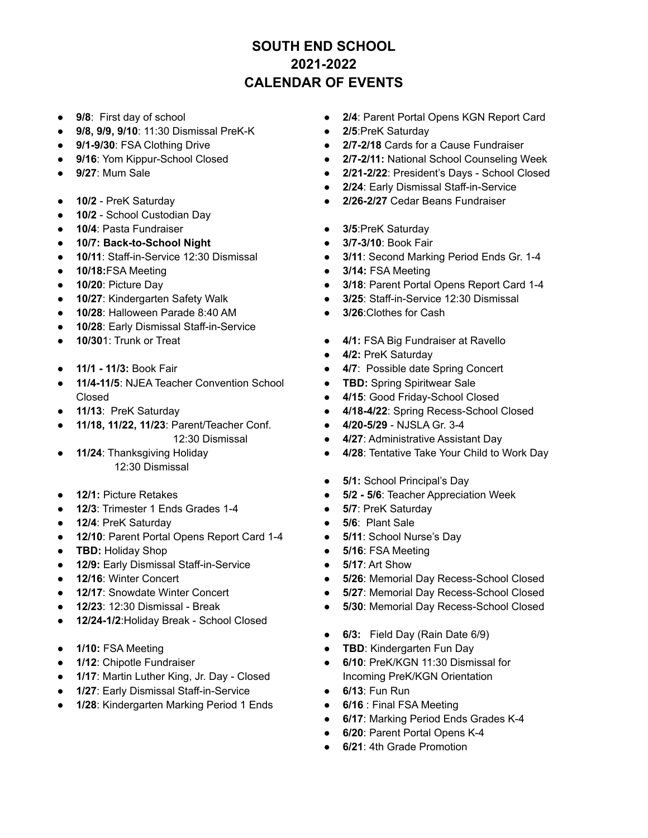## **SOUTH END SCHOOL 2021-2022 CALENDAR OF EVENTS**

- **9/8**: First day of school
- **9/8, 9/9, 9/10**: 11:30 Dismissal PreK-K
- **9/1-9/30**: FSA Clothing Drive
- **9/16: Yom Kippur-School Closed**
- **9/27**: Mum Sale
- **10/2** PreK Saturday
- 10/2 School Custodian Day
- **10/4**: Pasta Fundraiser
- **● 10/7: Back-to-School Night**
- **10/11**: Staff-in-Service 12:30 Dismissal
- **10/18:**FSA Meeting
- **10/20**: Picture Day
- 10/27: Kindergarten Safety Walk
- **10/28**: Halloween Parade 8:40 AM
- 10/28: Early Dismissal Staff-in-Service
- **10/30**1: Trunk or Treat
- **11/1 - 11/3:** Book Fair
- **11/4-11/5**: NJEA Teacher Convention School Closed
- **11/13**: PreK Saturday
- **11/18, 11/22, 11/23**: Parent/Teacher Conf. 12:30 Dismissal
- 11/24: Thanksgiving Holiday 12:30 Dismissal
- 12/1: Picture Retakes
- **12/3**: Trimester 1 Ends Grades 1-4
- **12/4**: PreK Saturday
- 12/10: Parent Portal Opens Report Card 1-4
- **TBD: Holiday Shop**
- **12/9: Early Dismissal Staff-in-Service**
- **12/16: Winter Concert**
- **12/17: Snowdate Winter Concert**
- **12/23**: 12:30 Dismissal Break
- 12/24-1/2: Holiday Break School Closed
- **1/10:** FSA Meeting
- **1/12**: Chipotle Fundraiser
- **1/17: Martin Luther King, Jr. Day Closed**
- **1/27**: Early Dismissal Staff-in-Service
- 1/28: Kindergarten Marking Period 1 Ends
- **2/4**: Parent Portal Opens KGN Report Card
- **2/5**:PreK Saturday
- 2/7-2/18 Cards for a Cause Fundraiser
- **● 2/7-2/11:** National School Counseling Week
- **2/21-2/22**: President's Days School Closed
- 2/24: Early Dismissal Staff-in-Service
- **● 2/26-2/27** Cedar Beans Fundraiser
- **3/5**:PreK Saturday
- **3/7-3/10**: Book Fair
- **3/11**: Second Marking Period Ends Gr. 1-4
- **3/14:** FSA Meeting
- **3/18**: Parent Portal Opens Report Card 1-4
- **3/25**: Staff-in-Service 12:30 Dismissal
- **3/26**:Clothes for Cash
- **4/1:** FSA Big Fundraiser at Ravello
- **4/2:** PreK Saturday
- **4/7**: Possible date Spring Concert
- **TBD:** Spring Spiritwear Sale
- **4/15**: Good Friday-School Closed
- **4/18-4/22**: Spring Recess-School Closed
- **4/20-5/29** NJSLA Gr. 3-4
- **4/27**: Administrative Assistant Day
- **4/28**: Tentative Take Your Child to Work Day
- **5/1:** School Principal's Day
- **● 5/2 - 5/6**: Teacher Appreciation Week
- **5/7**: PreK Saturday
- **5/6**: Plant Sale
- **5/11**: School Nurse's Day
- **5/16**: FSA Meeting
- **5/17**: Art Show
- **5/26**: Memorial Day Recess-School Closed
- **5/27**: Memorial Day Recess-School Closed
- **5/30**: Memorial Day Recess-School Closed
- **6/3:** Field Day (Rain Date 6/9)
- **TBD**: Kindergarten Fun Day
- **6/10**: PreK/KGN 11:30 Dismissal for Incoming PreK/KGN Orientation
- **6/13**: Fun Run
- **6/16** : Final FSA Meeting
- **6/17**: Marking Period Ends Grades K-4
- **6/20**: Parent Portal Opens K-4
	- **6/21**: 4th Grade Promotion